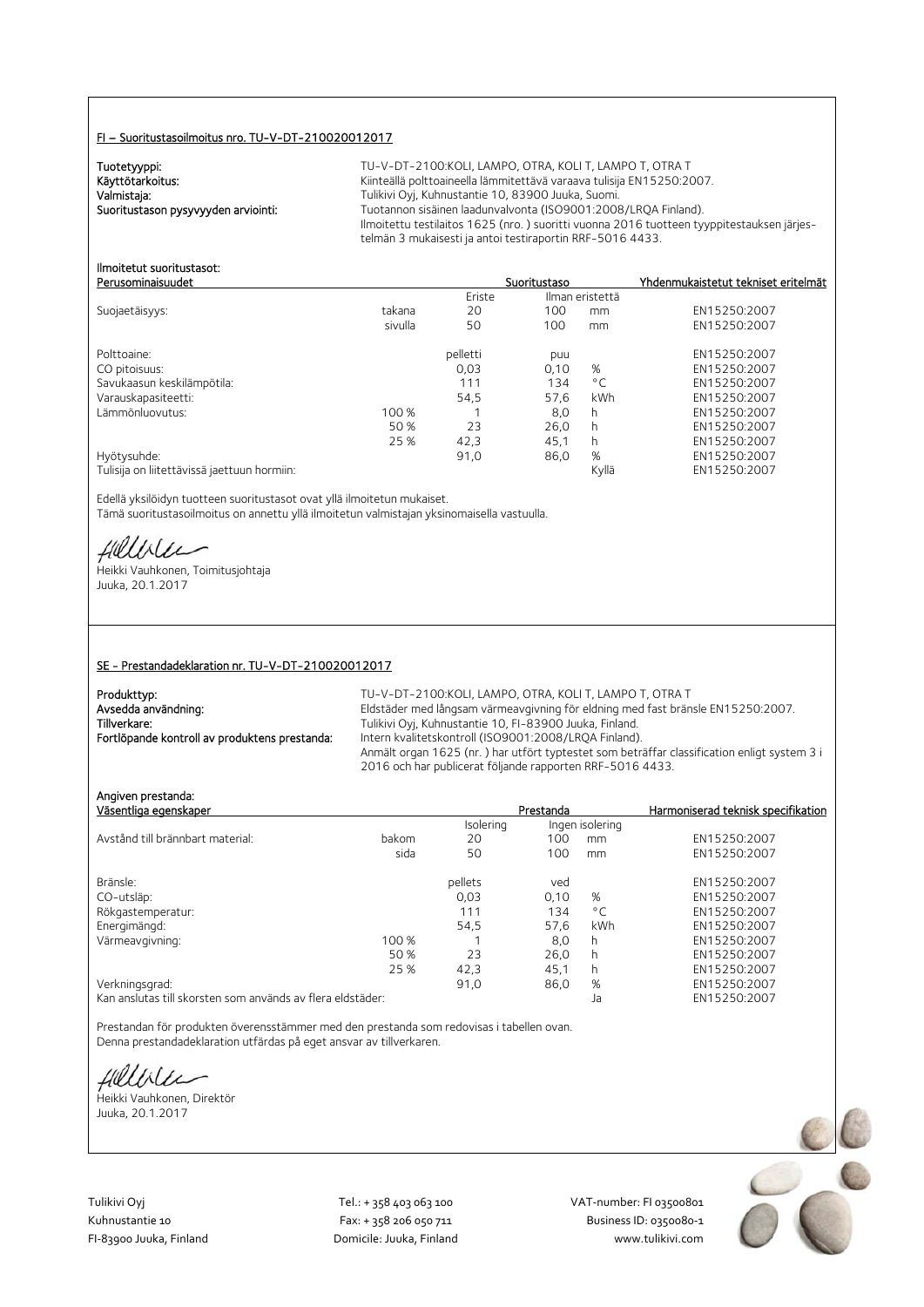#### FI – Suoritustasoilmoitus nro. TU-V-DT-210020012017

Tuotetyyppi:<br>Käyttötarkoitus:

TU-V-DT-2100:KOLI, LAMPO, OTRA, KOLI T, LAMPO T, OTRA T Käyttötarkoitus: Käyttötarkoitus: Kiinteällä polttoaineella lämmitettävä varaava tulisija EN15250:2007.<br>Valmistaja: Kuhnustantie 10, 83900 Juuka, Suomi. Valmistaja: Valmistaja: Tulikivi Oyj, Kuhnustantie 10, 83900 Juuka, Suomi.<br>2008–1:2008 Tuotannon sisäinen laadunvalvonta (ISO9001:2008 Tuotannon sisäinen laadunvalvonta (ISO9001:2008/LRQA Finland). Ilmoitettu testilaitos 1625 (nro. ) suoritti vuonna 2016 tuotteen tyyppitestauksen järjestelmän 3 mukaisesti ja antoi testiraportin RRF-5016 4433.

#### Ilmoitetut suoritustasot: Perusominaisuudet Suoritustaso Yhdenmukaistetut tekniset eritelmät

|                                             |         | Eriste   | Ilman eristettä |              |              |
|---------------------------------------------|---------|----------|-----------------|--------------|--------------|
| Suojaetäisyys:                              | takana  | 20       | 100             | mm           | EN15250:2007 |
|                                             | sivulla | 50       | 100             | mm           | EN15250:2007 |
| Polttoaine:                                 |         | pelletti | puu             |              | EN15250:2007 |
| CO pitoisuus:                               |         | 0,03     | 0,10            | %            | EN15250:2007 |
| Savukaasun keskilämpötila:                  |         | 111      | 134             | $^{\circ}$ C | EN15250:2007 |
| Varauskapasiteetti:                         |         | 54.5     | 57.6            | kWh          | EN15250:2007 |
| Lämmönluovutus:                             | 100 %   |          | 8,0             | h            | EN15250:2007 |
|                                             | 50 %    | 23       | 26.0            | h            | EN15250:2007 |
|                                             | 25 %    | 42,3     | 45.1            | h            | EN15250:2007 |
| Hyötysuhde:                                 |         | 91,0     | 86,0            | %            | EN15250:2007 |
| Tulisija on liitettävissä jaettuun hormiin: |         |          |                 | Kyllä        | EN15250:2007 |

Edellä yksilöidyn tuotteen suoritustasot ovat yllä ilmoitetun mukaiset. Tämä suoritustasoilmoitus on annettu yllä ilmoitetun valmistajan yksinomaisella vastuulla.

Heikki Vauhkonen, Toimitusjohtaja

Angiven prestanda:

Juuka, 20.1.2017

#### SE - Prestandadeklaration nr. TU-V-DT-210020012017

| Produkttyp:                                   | TU-V-DT-2100:KOLI. LAMPO. OTRA. KOLI T. LAMPO T. OTRA T                                     |
|-----------------------------------------------|---------------------------------------------------------------------------------------------|
| Avsedda användning:                           | Eldstäder med långsam värmeavgivning för eldning med fast bränsle EN15250:2007.             |
| Tillverkare:                                  | Tulikivi Oyj, Kuhnustantie 10, FI-83900 Juuka, Finland.                                     |
| Fortlöpande kontroll av produktens prestanda: | Intern kvalitetskontroll (ISO9001:2008/LRQA Finland).                                       |
|                                               | Anmält organ 1625 (nr.) har utfört typtestet som beträffar classification enligt system 3 i |
|                                               | 2016 och har publicerat följande rapporten RRF-5016 4433.                                   |

| Väsentliga egenskaper            |       |           | Prestanda |                 | Harmoniserad teknisk specifikation |
|----------------------------------|-------|-----------|-----------|-----------------|------------------------------------|
|                                  |       | Isolering |           | Ingen isolering |                                    |
| Avstånd till brännbart material: | bakom | 20        | 100       | mm              | EN15250:2007                       |
|                                  | sida  | 50        | 100       | mm              | EN15250:2007                       |
| Bränsle:                         |       | pellets   | ved       |                 | EN15250:2007                       |
| CO-utsläp:                       |       | 0,03      | 0,10      | %               | EN15250:2007                       |
| Rökgastemperatur:                |       | 111       | 134       | $^{\circ}$ C    | EN15250:2007                       |
| Energimängd:                     |       | 54.5      | 57.6      | kWh             | EN15250:2007                       |
| Värmeavgivning:                  | 100 % |           | 8,0       | h               | EN15250:2007                       |
|                                  | 50 %  | 23        | 26,0      | h               | EN15250:2007                       |
|                                  | 25 %  | 42,3      | 45,1      | h               | EN15250:2007                       |
| Verkningsgrad:                   |       | 91,0      | 86,0      | %               | EN15250:2007                       |
|                                  |       |           |           |                 |                                    |

Kan anslutas till skorsten som används av flera eldstäder: Ja EN15250:2007

Prestandan för produkten överensstämmer med den prestanda som redovisas i tabellen ovan. Denna prestandadeklaration utfärdas på eget ansvar av tillverkaren.

Hilliler

Heikki Vauhkonen, Direktör Juuka, 20.1.2017

Tulikivi Oyj Tel.: + 358 403 063 100 VAT‐number: FI 03500801

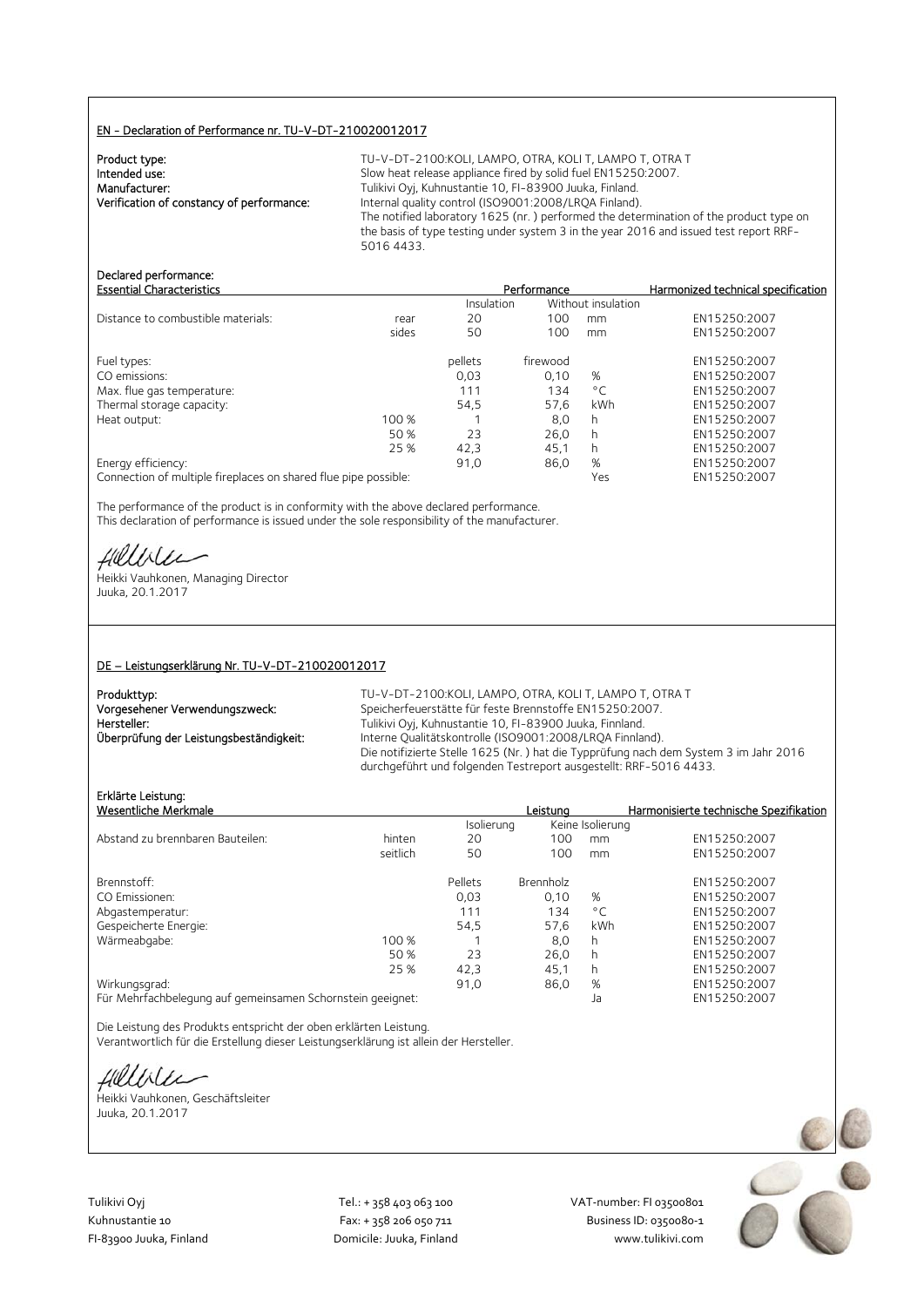#### EN - Declaration of Performance nr. TU-V-DT-210020012017

| Product type:                             |  |
|-------------------------------------------|--|
| Intended use:                             |  |
| Manufacturer:                             |  |
| Verification of constancy of performance: |  |
|                                           |  |

TU-V-DT-2100: KOLI, LAMPO, OTRA, KOLI T, LAMPO T, OTRA T Slow heat release appliance fired by solid fuel EN15250:2007. Tulikivi Oyj, Kuhnustantie 10, FI-83900 Juuka, Finland. Internal quality control (ISO9001:2008/LRQA Finland). The notified laboratory 1625 (nr. ) performed the determination of the product type on the basis of type testing under system 3 in the year 2016 and issued test report RRF-5016 4433.

## Declared performance:

| <b>Essential Characteristics</b>   |       | Performance |                    | Harmonized technical specification |              |
|------------------------------------|-------|-------------|--------------------|------------------------------------|--------------|
|                                    |       | Insulation  | Without insulation |                                    |              |
| Distance to combustible materials: | rear  | 20          | 100                | mm                                 | EN15250:2007 |
|                                    | sides | 50          | 100                | mm                                 | EN15250:2007 |
| Fuel types:                        |       | pellets     | firewood           |                                    | EN15250:2007 |
| CO emissions:                      |       | 0,03        | 0.10               | %                                  | EN15250:2007 |
| Max. flue gas temperature:         |       | 111         | 134                | $^{\circ}$ C                       | EN15250:2007 |
| Thermal storage capacity:          |       | 54.5        | 57.6               | kWh                                | EN15250:2007 |
| Heat output:                       | 100 % |             | 8,0                | h                                  | EN15250:2007 |
|                                    | 50 %  | 23          | 26.0               | h                                  | EN15250:2007 |
|                                    | 25 %  | 42,3        | 45,1               | h                                  | EN15250:2007 |
| Energy efficiency:                 |       | 91,0        | 86,0               | %                                  | EN15250:2007 |
|                                    |       |             |                    |                                    |              |

Connection of multiple fireplaces on shared flue pipe possible: Yes EN15250:2007

The performance of the product is in conformity with the above declared performance. This declaration of performance is issued under the sole responsibility of the manufacturer.

Helliler

Heikki Vauhkonen, Managing Director Juuka, 20.1.2017

#### DE – Leistungserklärung Nr. TU-V-DT-210020012017

| Produkttyp:                             |
|-----------------------------------------|
| Vorgesehener Verwendungszweck:          |
| Hersteller:                             |
| Überprüfung der Leistungsbeständigkeit: |
|                                         |

TU-V-DT-2100:KOLI, LAMPO, OTRA, KOLI T, LAMPO T, OTRA T Speicherfeuerstätte für feste Brennstoffe EN15250:2007. Tulikivi Oyj, Kuhnustantie 10, FI-83900 Juuka, Finnland. Interne Qualitätskontrolle (ISO9001:2008/LRQA Finnland). Die notifizierte Stelle 1625 (Nr. ) hat die Typprüfung nach dem System 3 im Jahr 2016 durchgeführt und folgenden Testreport ausgestellt: RRF-5016 4433.

## Erklärte Leistung:

| Erklärte Leistung:                                         |          |            |                  |                  |                                        |
|------------------------------------------------------------|----------|------------|------------------|------------------|----------------------------------------|
| Wesentliche Merkmale                                       |          |            | Leistuna         |                  | Harmonisierte technische Spezifikation |
|                                                            |          | Isolierung |                  | Keine Isolierung |                                        |
| Abstand zu brennbaren Bauteilen:                           | hinten   | 20         | 100              | mm               | EN15250:2007                           |
|                                                            | seitlich | 50         | 100              | mm               | EN15250:2007                           |
| Brennstoff:                                                |          | Pellets    | <b>Brennholz</b> |                  | EN15250:2007                           |
| CO Emissionen:                                             |          | 0.03       | 0.10             | %                | EN15250:2007                           |
| Abgastemperatur:                                           |          | 111        | 134              | $^{\circ}$ C     | EN15250:2007                           |
| Gespeicherte Energie:                                      |          | 54,5       | 57.6             | kWh              | EN15250:2007                           |
| Wärmeabgabe:                                               | 100 %    |            | 8,0              | h                | EN15250:2007                           |
|                                                            | 50 %     | 23         | 26,0             | h                | EN15250:2007                           |
|                                                            | 25 %     | 42,3       | 45,1             | h                | EN15250:2007                           |
| Wirkungsgrad:                                              |          | 91,0       | 86,0             | %                | EN15250:2007                           |
| Für Mehrfachbelegung auf gemeinsamen Schornstein geeignet: |          |            |                  | Ja               | EN15250:2007                           |

Die Leistung des Produkts entspricht der oben erklärten Leistung. Verantwortlich für die Erstellung dieser Leistungserklärung ist allein der Hersteller.

Hillble

Heikki Vauhkonen, Geschäftsleiter Juuka, 20.1.2017



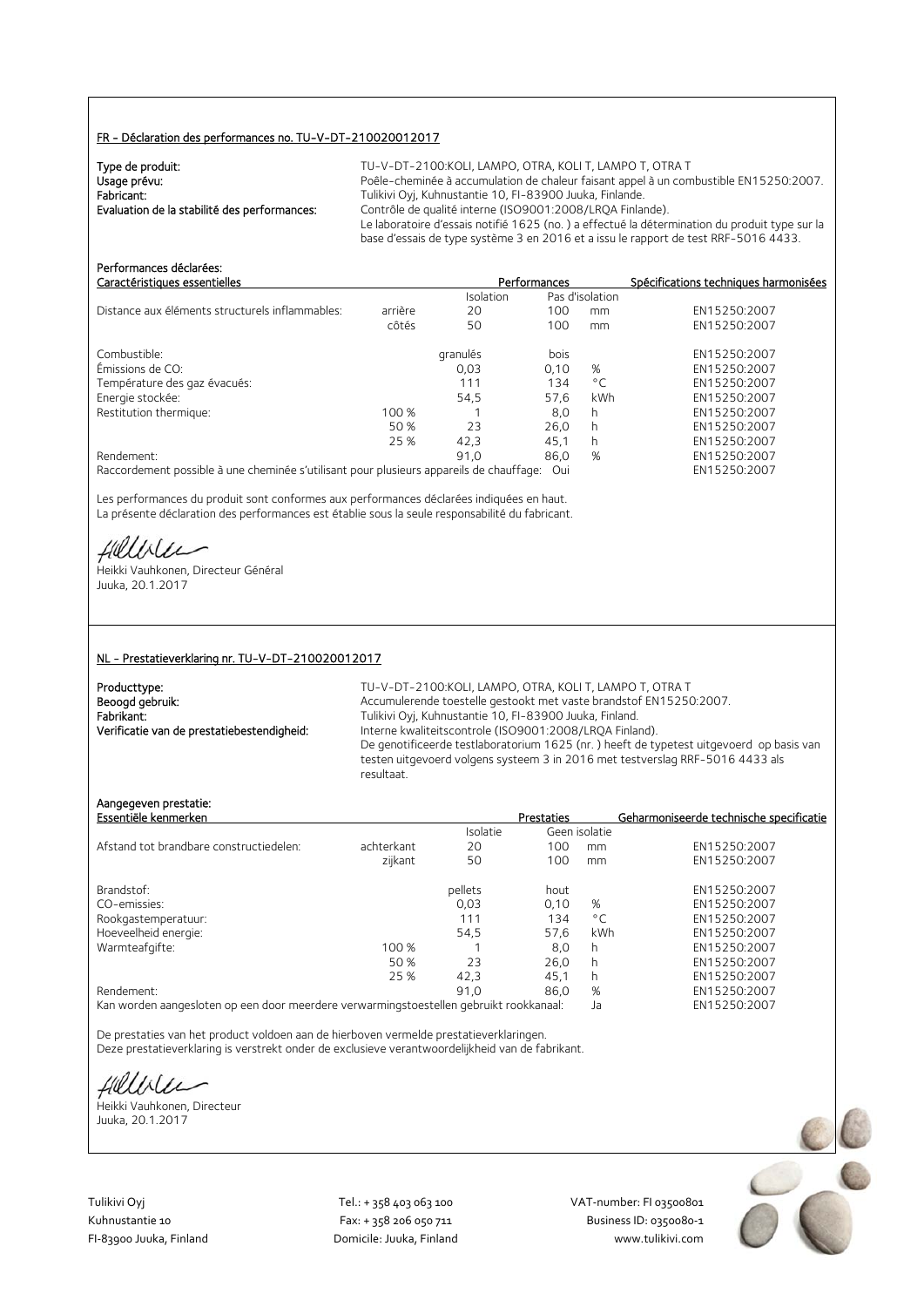#### FR - Déclaration des performances no. TU-V-DT-210020012017

| Type de produit:                             | TU-V-DT-2100:KOLI, LAMPO, OTRA, KOLI T, LAMPO T, OTRA T                                       |
|----------------------------------------------|-----------------------------------------------------------------------------------------------|
| Usage prévu:                                 | Poêle-cheminée à accumulation de chaleur faisant appel à un combustible EN15250:2007.         |
| Fabricant:                                   | Tulikivi Oyj, Kuhnustantie 10, FI-83900 Juuka, Finlande.                                      |
| Evaluation de la stabilité des performances: | Contrôle de qualité interne (ISO9001:2008/LROA Finlande).                                     |
|                                              | Le laboratoire d'essais notifié 1625 (no.) a effectué la détermination du produit type sur la |
|                                              | base d'essais de type système 3 en 2016 et a issu le rapport de test RRF-5016 4433.           |

| Performances déclarées:<br>Caractéristiques essentielles                                |         |           | Performances |                 | Spécifications techniques harmonisées |
|-----------------------------------------------------------------------------------------|---------|-----------|--------------|-----------------|---------------------------------------|
|                                                                                         |         | Isolation |              | Pas d'isolation |                                       |
| Distance aux éléments structurels inflammables:                                         | arrière | 20        | 100          | mm              | EN15250:2007                          |
|                                                                                         | côtés   | 50        | 100          | mm              | EN15250:2007                          |
| Combustible:                                                                            |         | granulés  | bois         |                 | EN15250:2007                          |
| Émissions de CO:                                                                        |         | 0,03      | 0,10         | %               | EN15250:2007                          |
| Température des gaz évacués:                                                            |         | 111       | 134          | $^{\circ}$ C    | EN15250:2007                          |
| Energie stockée:                                                                        |         | 54,5      | 57,6         | kWh             | EN15250:2007                          |
| Restitution thermique:                                                                  | 100 %   |           | 8,0          | h               | EN15250:2007                          |
|                                                                                         | 50 %    | 23        | 26.0         | h               | EN15250:2007                          |
|                                                                                         | 25 %    | 42.3      | 45,1         | h               | EN15250:2007                          |
| Rendement:                                                                              |         | 91.0      | 86.0         | %               | EN15250:2007                          |
| Raccordement possible à une cheminée s'utilisant pour plusieurs appareils de chauffage: |         |           | Oui          |                 | EN15250:2007                          |

Les performances du produit sont conformes aux performances déclarées indiquées en haut. La présente déclaration des performances est établie sous la seule responsabilité du fabricant.

Hillble

Heikki Vauhkonen, Directeur Général Juuka, 20.1.2017

#### NL - Prestatieverklaring nr. TU-V-DT-210020012017

| Producttype:                               |
|--------------------------------------------|
| Beoogd gebruik:                            |
| Fabrikant:                                 |
| Verificatie van de prestatiebestendigheid: |

TU-V-DT-2100:KOLI, LAMPO, OTRA, KOLI T, LAMPO T, OTRA T Accumulerende toestelle gestookt met vaste brandstof EN15250:2007. Fabrikant: Tulikivi Oyj, Kuhnustantie 10, FI-83900 Juuka, Finland. Interne kwaliteitscontrole (ISO9001:2008/LRQA Finland). De genotificeerde testlaboratorium 1625 (nr. ) heeft de typetest uitgevoerd op basis van testen uitgevoerd volgens systeem 3 in 2016 met testverslag RRF-5016 4433 als resultaat.

#### Aangegeven prestatie:

| Essentiële kenmerken                    |            |                 | <b>Prestaties</b> |               | Geharmoniseerde technische specificatie |
|-----------------------------------------|------------|-----------------|-------------------|---------------|-----------------------------------------|
|                                         |            | <b>Isolatie</b> |                   | Geen isolatie |                                         |
| Afstand tot brandbare constructiedelen: | achterkant | 20              | 100               | mm            | EN15250:2007                            |
|                                         | zijkant    | 50              | 100               | mm            | EN15250:2007                            |
| Brandstof:                              |            | pellets         | hout              |               | EN15250:2007                            |
| CO-emissies:                            |            | 0.03            | 0.10              | %             | EN15250:2007                            |
| Rookgastemperatuur:                     |            | 111             | 134               | $^{\circ}$ C  | EN15250:2007                            |
| Hoeveelheid energie:                    |            | 54.5            | 57,6              | kWh           | EN15250:2007                            |
| Warmteafgifte:                          | 100 %      |                 | 8.0               | h             | EN15250:2007                            |
|                                         | 50 %       | 23              | 26.0              | h             | EN15250:2007                            |
|                                         | 25 %       | 42,3            | 45,1              | h             | EN15250:2007                            |
| Rendement:                              |            | 91.0            | 86.0              | %             | EN15250:2007                            |
|                                         |            |                 |                   |               |                                         |

Kan worden aangesloten op een door meerdere verwarmingstoestellen gebruikt rookkanaal: Ja EN15250:2007

De prestaties van het product voldoen aan de hierboven vermelde prestatieverklaringen. Deze prestatieverklaring is verstrekt onder de exclusieve verantwoordelijkheid van de fabrikant.

fillble

Heikki Vauhkonen, Directeur Juuka, 20.1.2017

Tulikivi Oyj Tel.: + 358 403 063 100 VAT‐number: FI 03500801

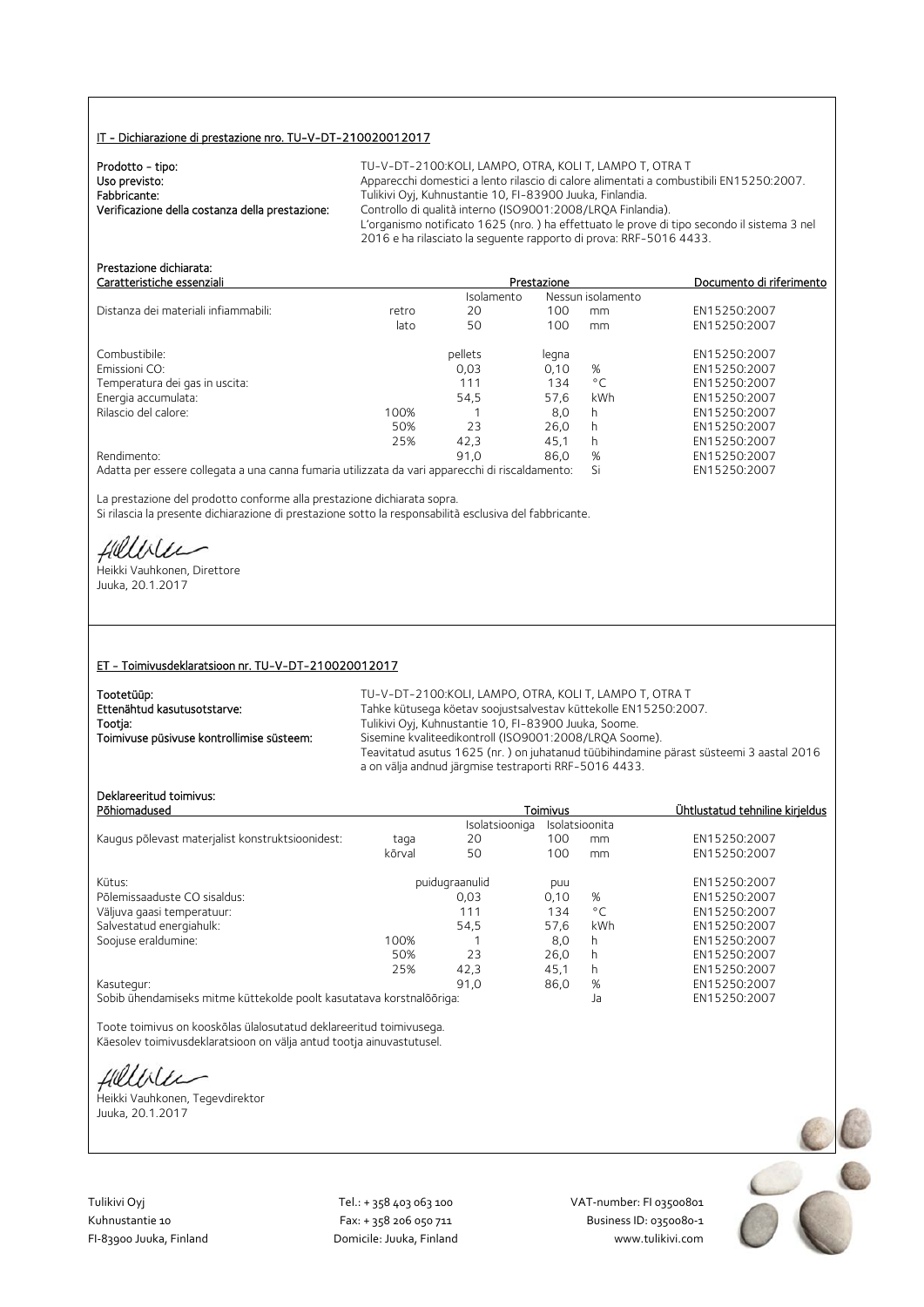#### IT - Dichiarazione di prestazione nro. TU-V-DT-210020012017

| Prodotto - tipo:                                | $TU-V-DT-2$     |
|-------------------------------------------------|-----------------|
| Uso previsto:                                   | Apparecchi o    |
| Fabbricante:                                    | Tulikivi Ovi, I |
| Verificazione della costanza della prestazione: | Controllo di    |
|                                                 | L'organismo     |

100: KOLI, LAMPO, OTRA, KOLI T, LAMPO T, OTRA T domestici a lento rilascio di calore alimentati a combustibili EN15250:2007. Kuhnustantie 10, FI-83900 Juuka, Finlandia. qualità interno (ISO9001:2008/LRQA Finlandia). notificato 1625 (nro.) ha effettuato le prove di tipo secondo il sistema 3 nel 2016 e ha rilasciato la seguente rapporto di prova: RRF-5016 4433.

| Caratteristiche essenziali                                                                      |       | Prestazione | Documento di riferimento |                   |              |
|-------------------------------------------------------------------------------------------------|-------|-------------|--------------------------|-------------------|--------------|
|                                                                                                 |       | Isolamento  |                          | Nessun isolamento |              |
| Distanza dei materiali infiammabili:                                                            | retro | 20          | 100                      | mm                | EN15250:2007 |
|                                                                                                 | lato  | 50          | 100                      | mm                | EN15250:2007 |
| Combustibile:                                                                                   |       | pellets     | legna                    |                   | EN15250:2007 |
| Emissioni CO:                                                                                   |       | 0,03        | 0.10                     | %                 | EN15250:2007 |
| Temperatura dei gas in uscita:                                                                  |       | 111         | 134                      | $^{\circ}$ C      | EN15250:2007 |
| Energia accumulata:                                                                             |       | 54,5        | 57.6                     | kWh               | EN15250:2007 |
| Rilascio del calore:                                                                            | 100%  |             | 8,0                      | h                 | EN15250:2007 |
|                                                                                                 | 50%   | 23          | 26,0                     | h                 | EN15250:2007 |
|                                                                                                 | 25%   | 42,3        | 45.1                     | h                 | EN15250:2007 |
| Rendimento:                                                                                     |       | 91.0        | 86.0                     | %                 | EN15250:2007 |
| Adatta per essere collegata a una canna fumaria utilizzata da vari apparecchi di riscaldamento: |       |             |                          | Si                | EN15250:2007 |

La prestazione del prodotto conforme alla prestazione dichiarata sopra. Si rilascia la presente dichiarazione di prestazione sotto la responsabilità esclusiva del fabbricante.

fielliter

Prestazione dichiarata:

Heikki Vauhkonen, Direttore Juuka, 20.1.2017

#### ET - Toimivusdeklaratsioon nr. TU-V-DT-210020012017

| Tootetüüp:                                | TU-V-DT-2100:KOLI. LAMPO. OTRA. KOLI T. LAMPO T. OTRA T                                                                                         |
|-------------------------------------------|-------------------------------------------------------------------------------------------------------------------------------------------------|
| Ettenähtud kasutusotstarve:               | Tahke kütusega köetav soojustsalvestav küttekolle EN15250:2007.                                                                                 |
| Tootja:                                   | Tulikivi Oyj, Kuhnustantie 10, FI-83900 Juuka, Soome.                                                                                           |
| Toimivuse püsivuse kontrollimise süsteem: | Sisemine kvaliteedikontroll (ISO9001:2008/LROA Soome).                                                                                          |
|                                           | Teavitatud asutus 1625 (nr.) on juhatanud tüübihindamine pärast süsteemi 3 aastal 2016<br>a on välja andnud järgmise testraporti RRF-5016 4433. |

### Deklareeritud toimivus:

| DENIGI EEHLUU TUIHIIVUS.<br>Põhiomadused                                                                       |        |                | Toimivus |                | Ühtlustatud tehniline kirjeldus |
|----------------------------------------------------------------------------------------------------------------|--------|----------------|----------|----------------|---------------------------------|
|                                                                                                                |        | Isolatsiooniga |          | Isolatsioonita |                                 |
| Kaugus põlevast materjalist konstruktsioonidest:                                                               | taga   | 20             | 100      | mm             | EN15250:2007                    |
|                                                                                                                | kõrval | 50             | 100      | mm             | EN15250:2007                    |
| Kütus:                                                                                                         |        | puidugraanulid | puu      |                | EN15250:2007                    |
| Põlemissaaduste CO sisaldus:                                                                                   |        | 0.03           | 0,10     | %              | EN15250:2007                    |
| Väljuva gaasi temperatuur:                                                                                     |        | 111            | 134      | $^{\circ}$ C   | EN15250:2007                    |
| Salvestatud energiahulk:                                                                                       |        | 54.5           | 57.6     | kWh            | EN15250:2007                    |
| Soojuse eraldumine:                                                                                            | 100%   |                | 8,0      | h.             | EN15250:2007                    |
|                                                                                                                | 50%    | 23             | 26,0     |                | EN15250:2007                    |
|                                                                                                                | 25%    | 42.3           | 45.1     | h              | EN15250:2007                    |
| Kasutegur:                                                                                                     |        | 91.0           | 86,0     | %              | EN15250:2007                    |
| (Collette Alexandria) : has a straight format delight and collect in a straight and development of the Collect |        |                |          | $\mathbf{L}$   | T114T2T2.2007                   |

Sobib ühendamiseks mitme küttekolde poolt kasutatava korstnalõõriga: Ja EN15250:2007

Toote toimivus on kooskõlas ülalosutatud deklareeritud toimivusega. Käesolev toimivusdeklaratsioon on välja antud tootja ainuvastutusel.

fillise

Heikki Vauhkonen, Tegevdirektor Juuka, 20.1.2017

Tulikivi Oyj Tel.: + 358 403 063 100 VAT‐number: FI 03500801 FI-83900 Juuka, Finland Domicile: Juuka, Finland

Kuhnustantie 10 Fax: + 358 206 050 711 Fax: + 358 206 050 711 Business ID: 0350080-1<br>Fl-83900 Juuka, Finland Domicile: Juuka, Finland www.tulikivi.com

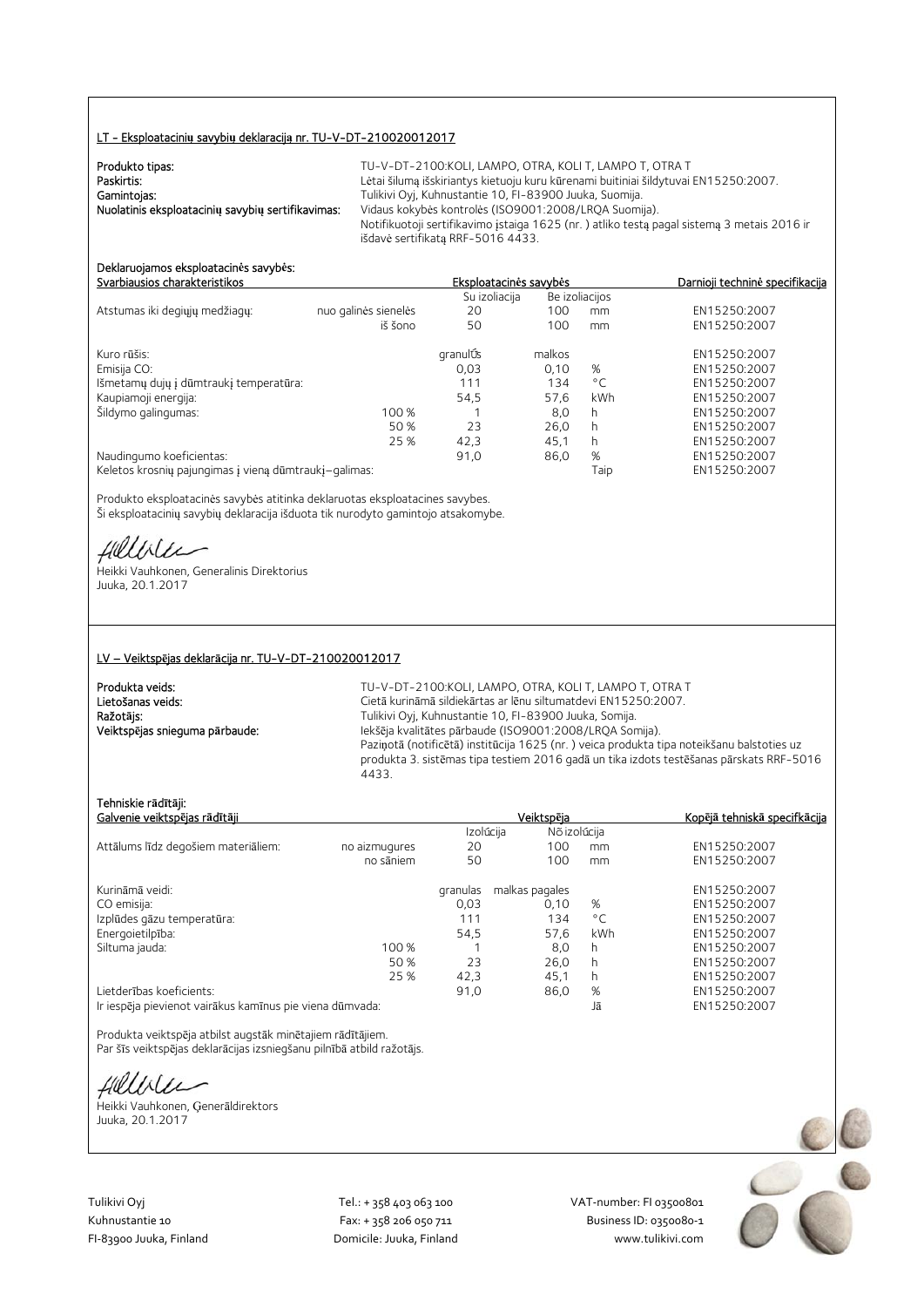#### LT - Eksploatacini**ų** savybi**ų** deklaracij**ą** nr. TU-V-DT-210020012017

| Produkto tipas:                                   | TU-V-DT-2100:KOLI, LAMPO, OTRA, KOLI T, LAMPO T, OTRA T                                    |
|---------------------------------------------------|--------------------------------------------------------------------------------------------|
| Paskirtis:                                        | Lėtai šilumą išskiriantys kietuoju kuru kūrenami buitiniai šildytuvai EN15250:2007.        |
| Gamintojas:                                       | Tulikivi Oyj, Kuhnustantie 10, FI-83900 Juuka, Suomija.                                    |
| Nuolatinis eksploatacinių savybių sertifikavimas: | Vidaus kokybės kontrolės (ISO9001:2008/LROA Suomija).                                      |
|                                                   | Notifikuotoji sertifikavimo įstaiga 1625 (nr.) atliko testą pagal sistemą 3 metais 2016 ir |
|                                                   | išdavė sertifikata RRF-5016 4433.                                                          |

#### Deklaruojamos eksploatacin**ė**s savyb**ė**s: Svarbiausios charakteristikos Eksploatacin**ė**s savyb**ė**s Darnioji technin**ė** specifikacija

|                                                       |                      | Su izoliacija |        | Be izoliacijos |              |  |
|-------------------------------------------------------|----------------------|---------------|--------|----------------|--------------|--|
| Atstumas iki degiųjų medžiagų:                        | nuo galinės sienelės | 20            | 100    | mm             | EN15250:2007 |  |
|                                                       | iš šono              | 50            | 100    | mm             | EN15250:2007 |  |
| Kuro rūšis:                                           |                      | granulÚs      | malkos |                | EN15250:2007 |  |
| Emisija CO:                                           |                      | 0,03          | 0.10   | %              | EN15250:2007 |  |
| Išmetamų dujų į dūmtraukį temperatūra:                |                      | 111           | 134    | $^{\circ}$ C   | EN15250:2007 |  |
| Kaupiamoji energija:                                  |                      | 54,5          | 57.6   | kWh            | EN15250:2007 |  |
| Šildymo galingumas:                                   | 100 %                |               | 8,0    | h              | EN15250:2007 |  |
|                                                       | 50 %                 | 23            | 26.0   | h              | EN15250:2007 |  |
|                                                       | 25 %                 | 42,3          | 45.1   | h              | EN15250:2007 |  |
| Naudingumo koeficientas:                              |                      | 91,0          | 86,0   | %              | EN15250:2007 |  |
| Keletos krosnių pajungimas į vieną dūmtraukį-galimas: |                      |               |        | Taip           | EN15250:2007 |  |

Produkto eksploatacinės savybės atitinka deklaruotas eksploatacines savybes. Ši eksploatacinių savybių deklaracija išduota tik nurodyto gamintojo atsakomybe.

fillblu

Heikki Vauhkonen, Generalinis Direktorius Juuka, 20.1.2017

#### LV – Veiktsp**ē**jas deklar**ā**cija nr. TU-V-DT-210020012017

| Produkta veids:                |  |
|--------------------------------|--|
| Lietošanas veids:              |  |
| Ražotāis:                      |  |
| Veiktspējas snieguma pārbaude: |  |

TU-V-DT-2100:KOLI, LAMPO, OTRA, KOLI T, LAMPO T, OTRA T Cietā kurināmā sildiekārtas ar lēnu siltumatdevi EN15250:2007. Tulikivi Oyj, Kuhnustantie 10, FI-83900 Juuka, Somija. Veiktsp**ē**jas snieguma p**ā**rbaude: Iekšēja kvalitātes pārbaude (ISO9001:2008/LRQA Somija). Paziņotā (notificētā) institūcija 1625 (nr. ) veica produkta tipa noteikšanu balstoties uz produkta 3. sistēmas tipa testiem 2016 gadā un tika izdots testēšanas pārskats RRF-5016 4433.

#### Tehniskie r**ā**d**ī**t**ā**ji:

| Galvenie veiktspējas rādītāji                            |               |           | Veiktspēja     |              | Kopējā tehniskā specifkācija |
|----------------------------------------------------------|---------------|-----------|----------------|--------------|------------------------------|
|                                                          |               | Izolúcija | Nõ izolúcija   |              |                              |
| Attālums līdz degošiem materiāliem:                      | no aizmugures | 20        | 100            | mm           | EN15250:2007                 |
|                                                          | no sāniem     | 50        | 100            | mm           | EN15250:2007                 |
| Kurināmā veidi:                                          |               | granulas  | malkas pagales |              | EN15250:2007                 |
| CO emisija:                                              |               | 0,03      | 0.10           | %            | EN15250:2007                 |
| Izplūdes gāzu temperatūra:                               |               | 111       | 134            | $^{\circ}$ C | EN15250:2007                 |
| Energoietilpība:                                         |               | 54,5      | 57,6           | kWh          | EN15250:2007                 |
| Siltuma jauda:                                           | 100 %         |           | 8,0            | h            | EN15250:2007                 |
|                                                          | 50 %          | 23        | 26.0           | h            | EN15250:2007                 |
|                                                          | 25 %          | 42,3      | 45,1           | h            | EN15250:2007                 |
| Lietderības koeficients:                                 |               | 91,0      | 86,0           | %            | EN15250:2007                 |
| Ir iespēja pievienot vairākus kamīnus pie viena dūmvada: |               |           |                | Jā           | EN15250:2007                 |

Produkta veiktspēja atbilst augstāk minētajiem rādītājiem. Par šīs veiktspējas deklarācijas izsniegšanu pilnībā atbild ražotājs.

Hillble

Heikki Vauhkonen, Ģenerāldirektors Juuka, 20.1.2017

Tulikivi Oyj Tel.: + 358 403 063 100 VAT‐number: FI 03500801

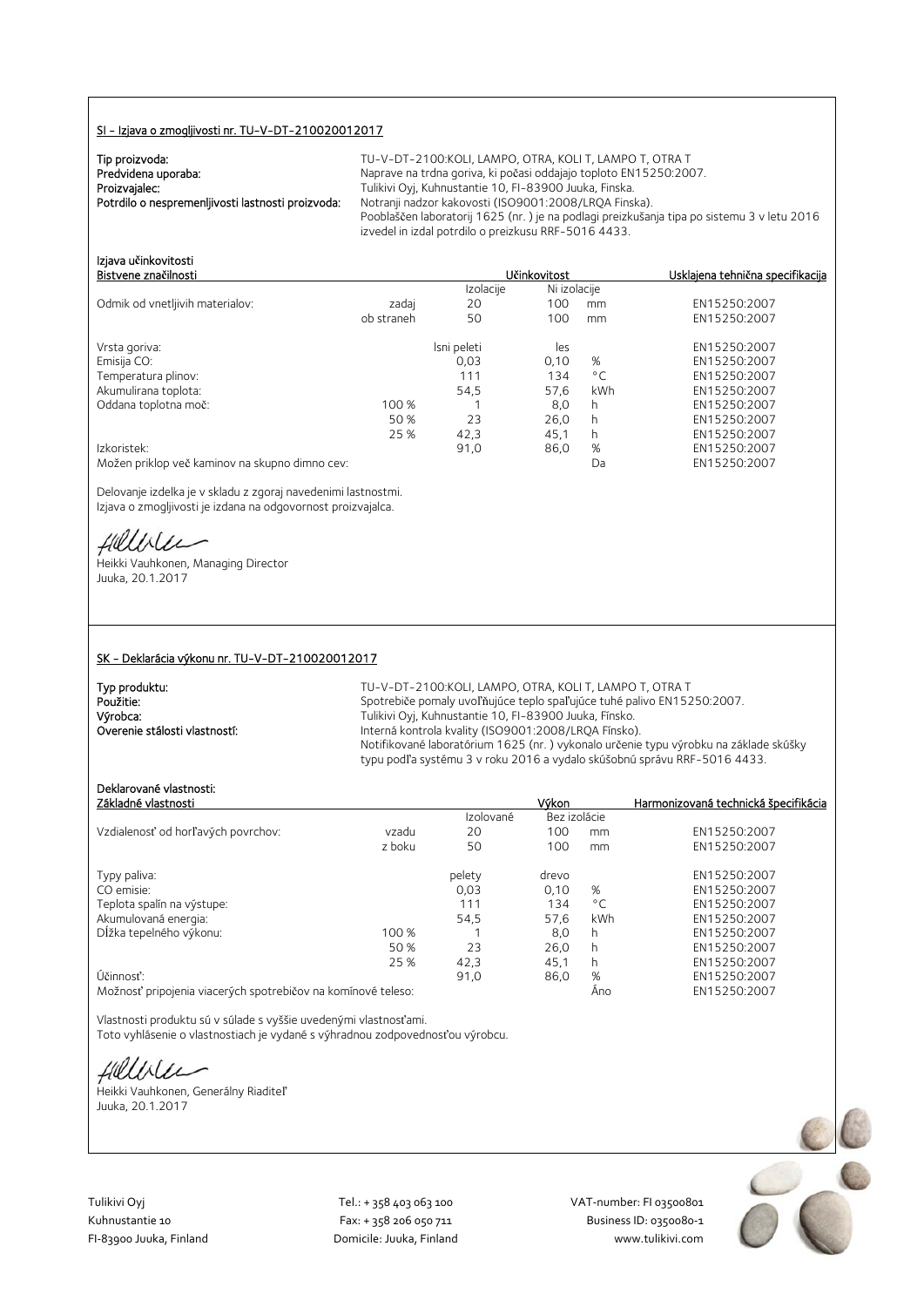#### SI - Izjava o zmogljivosti nr. TU-V-DT-210020012017

| Tip proizvoda:                                    |  |
|---------------------------------------------------|--|
| Predvidena uporaba:                               |  |
| Proizvajalec:                                     |  |
| Potrdilo o nespremenljivosti lastnosti proizvoda: |  |

TU-V-DT-2100: KOLI, LAMPO, OTRA, KOLI T, LAMPO T, OTRA T Naprave na trdna goriva, ki počasi oddajajo toploto EN15250:2007. Tulikivi Oyj, Kuhnustantie 10, FI-83900 Juuka, Finska. Notranji nadzor kakovosti (ISO9001:2008/LRQA Finska). Pooblaščen laboratorij 1625 (nr. ) je na podlagi preizkušanja tipa po sistemu 3 v letu 2016 izvedel in izdal potrdilo o preizkusu RRF-5016 4433.

| Izjava učinkovitosti                           |            |             |              |              |                                  |
|------------------------------------------------|------------|-------------|--------------|--------------|----------------------------------|
| Bistvene značilnosti                           |            |             | Učinkovitost |              | Usklajena tehnična specifikacija |
|                                                |            | Izolacije   | Ni izolacije |              |                                  |
| Odmik od vnetljivih materialov:                | zadaj      | 20          | 100          | mm           | EN15250:2007                     |
|                                                | ob straneh | 50          | 100          | mm           | EN15250:2007                     |
| Vrsta goriva:                                  |            | Isni peleti | les          |              | EN15250:2007                     |
| Emisija CO:                                    |            | 0,03        | 0,10         | %            | EN15250:2007                     |
| Temperatura plinov:                            |            | 111         | 134          | $^{\circ}$ C | EN15250:2007                     |
| Akumulirana toplota:                           |            | 54,5        | 57,6         | kWh          | EN15250:2007                     |
| Oddana toplotna moč:                           | 100 %      |             | 8,0          | h            | EN15250:2007                     |
|                                                | 50 %       | 23          | 26,0         | h            | EN15250:2007                     |
|                                                | 25 %       | 42,3        | 45.1         | h            | EN15250:2007                     |
| Izkoristek:                                    |            | 91,0        | 86,0         | %            | EN15250:2007                     |
| Možen priklop več kaminov na skupno dimno cev: |            |             |              | Da           | EN15250:2007                     |

Delovanje izdelka je v skladu z zgoraj navedenimi lastnostmi. Izjava o zmogljivosti je izdana na odgovornost proizvajalca.

fillble

Heikki Vauhkonen, Managing Director Juuka, 20.1.2017

#### SK - Deklarácia výkonu nr. TU-V-DT-210020012017

| Typ produktu:                 | TU-V-DT-2100:KOLI, LAMPO, OTRA, KOLI T, LAMPO T, OTRA T                              |
|-------------------------------|--------------------------------------------------------------------------------------|
| Použitie:                     | Spotrebiče pomaly uvoľňujúce teplo spaľujúce tuhé palivo EN15250:2007.               |
| Výrobca:                      | Tulikivi Oyj, Kuhnustantie 10, FI-83900 Juuka, Fínsko.                               |
| Overenie stálosti vlastností: | Interná kontrola kvality (ISO9001:2008/LRQA Fínsko).                                 |
|                               | Notifikované laboratórium 1625 (nr.) vykonalo určenie typu výrobku na základe skúšky |
|                               | typu podľa systému 3 v roku 2016 a vydalo skúšobnú správu RRF-5016 4433.             |

## Deklarované vlastnosti:

| Základné vlastnosti                                          |        |           | Výkon        |              | Harmonizovaná technická špecifikácia |
|--------------------------------------------------------------|--------|-----------|--------------|--------------|--------------------------------------|
|                                                              |        | Izolované | Bez izolácie |              |                                      |
| Vzdialenosť od horľavých povrchov:                           | vzadu  | 20        | 100          | mm           | EN15250:2007                         |
|                                                              | z boku | 50        | 100          | mm           | EN15250:2007                         |
| Typy paliva:                                                 |        | pelety    | drevo        |              | EN15250:2007                         |
| CO emisie:                                                   |        | 0.03      | 0.10         | %            | EN15250:2007                         |
| Teplota spalín na výstupe:                                   |        | 111       | 134          | $^{\circ}$ C | EN15250:2007                         |
| Akumulovaná energia:                                         |        | 54,5      | 57,6         | kWh          | EN15250:2007                         |
| Dĺžka tepelného výkonu:                                      | 100 %  |           | 8.0          | h            | EN15250:2007                         |
|                                                              | 50 %   | 23        | 26.0         | h            | EN15250:2007                         |
|                                                              | 25 %   | 42,3      | 45,1         | h            | EN15250:2007                         |
| Účinnosť:                                                    |        | 91,0      | 86,0         | %            | EN15250:2007                         |
| Možnosť pripojenia viacerých spotrebičov na komínové teleso: |        |           |              | Ano          | EN15250:2007                         |

Vlastnosti produktu sú v súlade s vyššie uvedenými vlastnosťami. Toto vyhlásenie o vlastnostiach je vydané s výhradnou zodpovednosťou výrobcu.

fillble

Heikki Vauhkonen, Generálny Riaditeľ Juuka, 20.1.2017